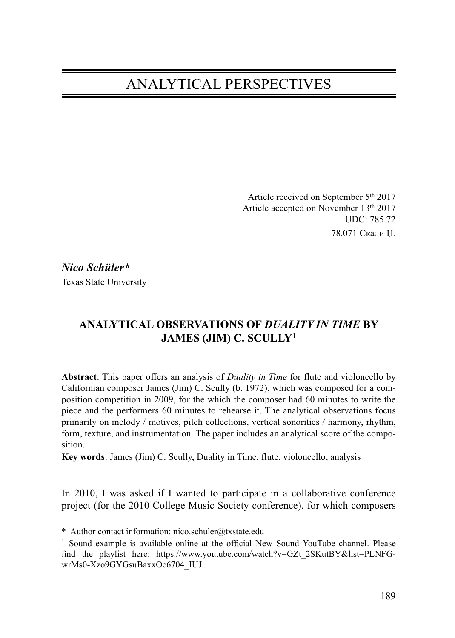## ANALYTICAL PERSPECTIVES

Article received on September 5th 2017 Article accepted on November 13th 2017 UDC: 785.72 78.071 Скали II.

Nico Schüler\*

Texas State University

## ANALYTICAL OBSERVATIONS OF DUALITY IN TIME BY JAMES (JIM) C. SCULLY1

Abstract: This paper offers an analysis of *Duality in Time* for flute and violoncello by Californian composer James (Jim) C. Scully (b. 1972), which was composed for a composition competition in 2009, for the which the composer had 60 minutes to write the piece and the performers 60 minutes to rehearse it. The analytical observations focus primarily on melody / motives, pitch collections, vertical sonorities / harmony, rhythm, form, texture, and instrumentation. The paper includes an analytical score of the composition.

Key words: James (Jim) C. Scully, Duality in Time, flute, violoncello, analysis

In 2010, I was asked if I wanted to participate in a collaborative conference project (for the 2010 College Music Society conference), for which composers

<sup>\*</sup> Author contact information: nico.schuler@txstate.edu

 $<sup>1</sup>$  Sound example is available online at the official New Sound YouTube channel. Please</sup> find the playlist here: https://www.youtube.com/watch?v=GZt\_2SKutBY&list=PLNFGwrMs0-Xzo9GYGsuBaxxOc6704\_IUJ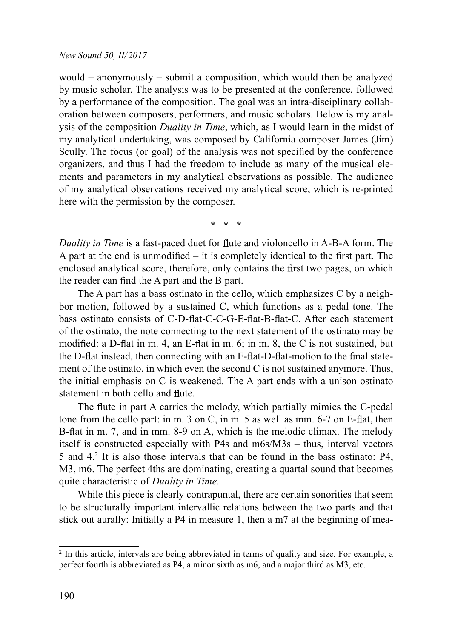would – anonymously – submit a composition, which would then be analyzed by music scholar. The analysis was to be presented at the conference, followed by a performance of the composition. The goal was an intra-disciplinary collaboration between composers, performers, and music scholars. Below is my analysis of the composition *Duality in Time*, which, as I would learn in the midst of my analytical undertaking, was composed by California composer James (Jim) Scully. The focus (or goal) of the analysis was not specified by the conference organizers, and thus I had the freedom to include as many of the musical elements and parameters in my analytical observations as possible. The audience of my analytical observations received my analytical score, which is re-printed here with the permission by the composer.

\* \* \*

Duality in Time is a fast-paced duet for flute and violoncello in  $A-B-A$  form. The A part at the end is unmodified  $-$  it is completely identical to the first part. The enclosed analytical score, therefore, only contains the first two pages, on which the reader can find the A part and the B part.

The A part has a bass ostinato in the cello, which emphasizes C by a neighbor motion, followed by a sustained C, which functions as a pedal tone. The bass ostinato consists of C-D-flat-C-C-G-E-flat-B-flat-C. After each statement of the ostinato, the note connecting to the next statement of the ostinato may be modified: a D-flat in m. 4, an E-flat in m. 6; in m. 8, the C is not sustained, but the D-flat instead, then connecting with an E-flat-D-flat-motion to the final statement of the ostinato, in which even the second C is not sustained anymore. Thus, the initial emphasis on C is weakened. The A part ends with a unison ostinato statement in both cello and flute.

The flute in part A carries the melody, which partially mimics the C-pedal tone from the cello part: in m.  $3$  on C, in m.  $5$  as well as mm.  $6-7$  on E-flat, then B-flat in m. 7, and in mm. 8-9 on A, which is the melodic climax. The melody itself is constructed especially with P4s and m6s/M3s – thus, interval vectors 5 and 4.2 It is also those intervals that can be found in the bass ostinato: P4, M3, m6. The perfect 4ths are dominating, creating a quartal sound that becomes quite characteristic of *Duality in Time*.

While this piece is clearly contrapuntal, there are certain sonorities that seem to be structurally important intervallic relations between the two parts and that stick out aurally: Initially a P4 in measure 1, then a m7 at the beginning of mea-

<sup>2</sup> In this article, intervals are being abbreviated in terms of quality and size. For example, a perfect fourth is abbreviated as P4, a minor sixth as m6, and a major third as M3, etc.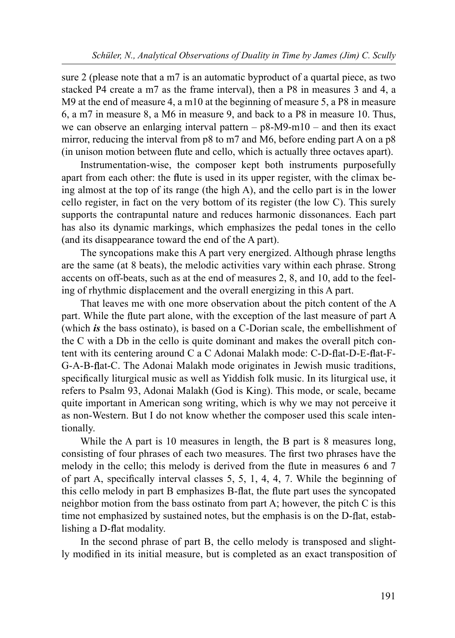sure 2 (please note that a m7 is an automatic byproduct of a quartal piece, as two stacked P4 create a m7 as the frame interval), then a P8 in measures 3 and 4, a M9 at the end of measure 4, a m10 at the beginning of measure 5, a P8 in measure 6, a m7 in measure 8, a M6 in measure 9, and back to a P8 in measure 10. Thus, we can observe an enlarging interval pattern  $- p8-M9-m10 -$  and then its exact mirror, reducing the interval from p8 to m7 and M6, before ending part A on a p8 (in unison motion between flute and cello, which is actually three octaves apart).

Instrumentation-wise, the composer kept both instruments purposefully apart from each other: the flute is used in its upper register, with the climax being almost at the top of its range (the high A), and the cello part is in the lower cello register, in fact on the very bottom of its register (the low C). This surely supports the contrapuntal nature and reduces harmonic dissonances. Each part has also its dynamic markings, which emphasizes the pedal tones in the cello (and its disappearance toward the end of the A part).

The syncopations make this A part very energized. Although phrase lengths are the same (at 8 beats), the melodic activities vary within each phrase. Strong accents on off-beats, such as at the end of measures 2, 8, and 10, add to the feeling of rhythmic displacement and the overall energizing in this A part.

That leaves me with one more observation about the pitch content of the A part. While the flute part alone, with the exception of the last measure of part A (which is the bass ostinato), is based on a C-Dorian scale, the embellishment of the C with a Db in the cello is quite dominant and makes the overall pitch content with its centering around C a C Adonai Malakh mode: C-D-flat-D-E-flat-F-G-A-B-flat-C. The Adonai Malakh mode originates in Jewish music traditions, specifically liturgical music as well as Yiddish folk music. In its liturgical use, it refers to Psalm 93, Adonai Malakh (God is King). This mode, or scale, became quite important in American song writing, which is why we may not perceive it as non-Western. But I do not know whether the composer used this scale intentionally.

While the A part is 10 measures in length, the B part is 8 measures long, consisting of four phrases of each two measures. The first two phrases have the melody in the cello; this melody is derived from the flute in measures  $6$  and  $7$ of part A, specifically interval classes  $5, 5, 1, 4, 4, 7$ . While the beginning of this cello melody in part B emphasizes B-flat, the flute part uses the syncopated neighbor motion from the bass ostinato from part A; however, the pitch C is this time not emphasized by sustained notes, but the emphasis is on the D-flat, establishing a D-flat modality.

In the second phrase of part B, the cello melody is transposed and slightly modified in its initial measure, but is completed as an exact transposition of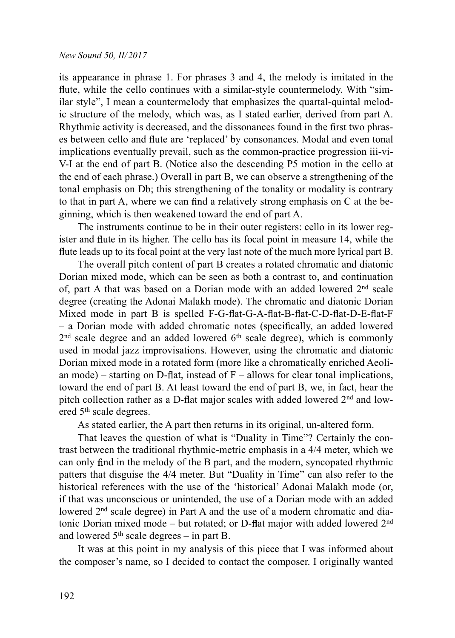its appearance in phrase 1. For phrases 3 and 4, the melody is imitated in the flute, while the cello continues with a similar-style countermelody. With "similar style", I mean a countermelody that emphasizes the quartal-quintal melodic structure of the melody, which was, as I stated earlier, derived from part A. Rhythmic activity is decreased, and the dissonances found in the first two phrases between cello and flute are 'replaced' by consonances. Modal and even tonal implications eventually prevail, such as the common-practice progression iii-vi-V-I at the end of part B. (Notice also the descending P5 motion in the cello at the end of each phrase.) Overall in part B, we can observe a strengthening of the tonal emphasis on Db; this strengthening of the tonality or modality is contrary to that in part A, where we can find a relatively strong emphasis on  $C$  at the beginning, which is then weakened toward the end of part A.

The instruments continue to be in their outer registers: cello in its lower register and flute in its higher. The cello has its focal point in measure 14, while the flute leads up to its focal point at the very last note of the much more lyrical part B.

The overall pitch content of part B creates a rotated chromatic and diatonic Dorian mixed mode, which can be seen as both a contrast to, and continuation of, part A that was based on a Dorian mode with an added lowered  $2<sup>nd</sup>$  scale degree (creating the Adonai Malakh mode). The chromatic and diatonic Dorian Mixed mode in part B is spelled F-G-flat-G-A-flat-B-flat-C-D-flat-D-E-flat-F  $-$  a Dorian mode with added chromatic notes (specifically, an added lowered  $2<sup>nd</sup>$  scale degree and an added lowered  $6<sup>th</sup>$  scale degree), which is commonly used in modal jazz improvisations. However, using the chromatic and diatonic Dorian mixed mode in a rotated form (more like a chromatically enriched Aeolian mode) – starting on D-flat, instead of  $F$  – allows for clear tonal implications, toward the end of part B. At least toward the end of part B, we, in fact, hear the pitch collection rather as a D-flat major scales with added lowered  $2<sup>nd</sup>$  and lowered 5<sup>th</sup> scale degrees.

As stated earlier, the A part then returns in its original, un-altered form.

That leaves the question of what is "Duality in Time"? Certainly the contrast between the traditional rhythmic-metric emphasis in a 4/4 meter, which we can only find in the melody of the B part, and the modern, syncopated rhythmic patters that disguise the 4/4 meter. But "Duality in Time" can also refer to the historical references with the use of the 'historical' Adonai Malakh mode (or, if that was unconscious or unintended, the use of a Dorian mode with an added lowered  $2<sup>nd</sup>$  scale degree) in Part A and the use of a modern chromatic and diatonic Dorian mixed mode – but rotated; or D-flat major with added lowered  $2<sup>nd</sup>$ and lowered  $5<sup>th</sup>$  scale degrees – in part B.

It was at this point in my analysis of this piece that I was informed about the composer's name, so I decided to contact the composer. I originally wanted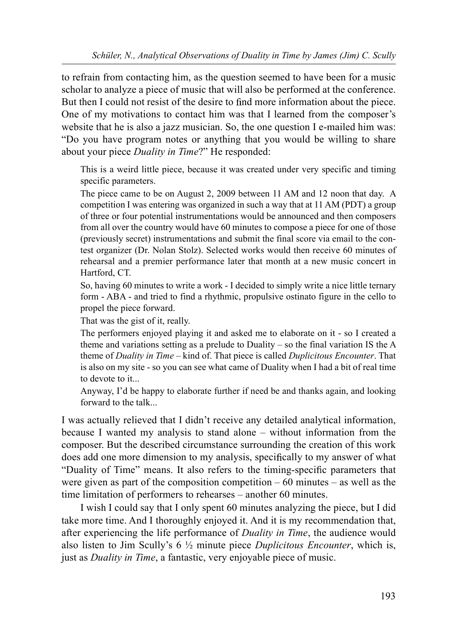to refrain from contacting him, as the question seemed to have been for a music scholar to analyze a piece of music that will also be performed at the conference. But then I could not resist of the desire to find more information about the piece. One of my motivations to contact him was that I learned from the composer's website that he is also a jazz musician. So, the one question I e-mailed him was: "Do you have program notes or anything that you would be willing to share about your piece Duality in Time?" He responded:

This is a weird little piece, because it was created under very specific and timing specific parameters.

The piece came to be on August 2, 2009 between 11 AM and 12 noon that day. A competition I was entering was organized in such a way that at 11 AM (PDT) a group of three or four potential instrumentations would be announced and then composers from all over the country would have 60 minutes to compose a piece for one of those (previously secret) instrumentations and submit the final score via email to the contest organizer (Dr. Nolan Stolz). Selected works would then receive 60 minutes of rehearsal and a premier performance later that month at a new music concert in Hartford, CT.

So, having 60 minutes to write a work - I decided to simply write a nice little ternary form - ABA - and tried to find a rhythmic, propulsive ostinato figure in the cello to propel the piece forward.

That was the gist of it, really.

The performers enjoyed playing it and asked me to elaborate on it - so I created a theme and variations setting as a prelude to Duality – so the final variation IS the A theme of Duality in Time – kind of. That piece is called Duplicitous Encounter. That is also on my site - so you can see what came of Duality when I had a bit of real time to devote to it...

Anyway, I'd be happy to elaborate further if need be and thanks again, and looking forward to the talk...

I was actually relieved that I didn't receive any detailed analytical information, because I wanted my analysis to stand alone – without information from the composer. But the described circumstance surrounding the creation of this work does add one more dimension to my analysis, specifically to my answer of what "Duality of Time" means. It also refers to the timing-specific parameters that were given as part of the composition competition  $-60$  minutes  $-$  as well as the time limitation of performers to rehearses – another 60 minutes.

I wish I could say that I only spent 60 minutes analyzing the piece, but I did take more time. And I thoroughly enjoyed it. And it is my recommendation that, after experiencing the life performance of Duality in Time, the audience would also listen to Jim Scully's  $6\frac{1}{2}$  minute piece *Duplicitous Encounter*, which is, just as Duality in Time, a fantastic, very enjoyable piece of music.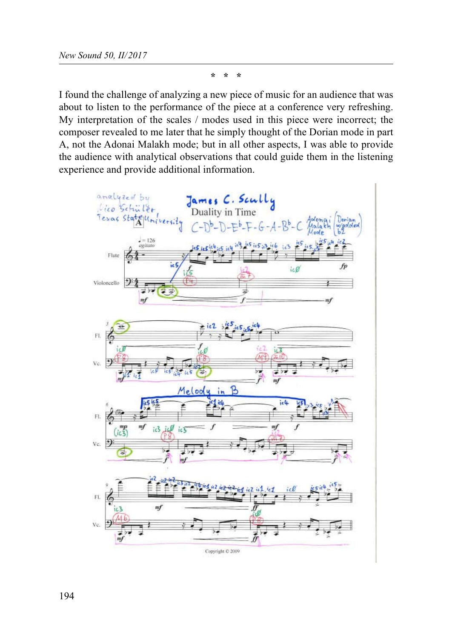\* \* \*

I found the challenge of analyzing a new piece of music for an audience that was about to listen to the performance of the piece at a conference very refreshing. My interpretation of the scales / modes used in this piece were incorrect; the composer revealed to me later that he simply thought of the Dorian mode in part A, not the Adonai Malakh mode; but in all other aspects, I was able to provide the audience with analytical observations that could guide them in the listening experience and provide additional information.

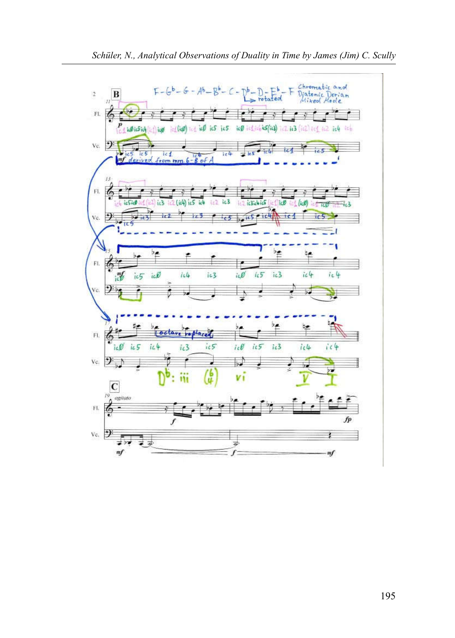